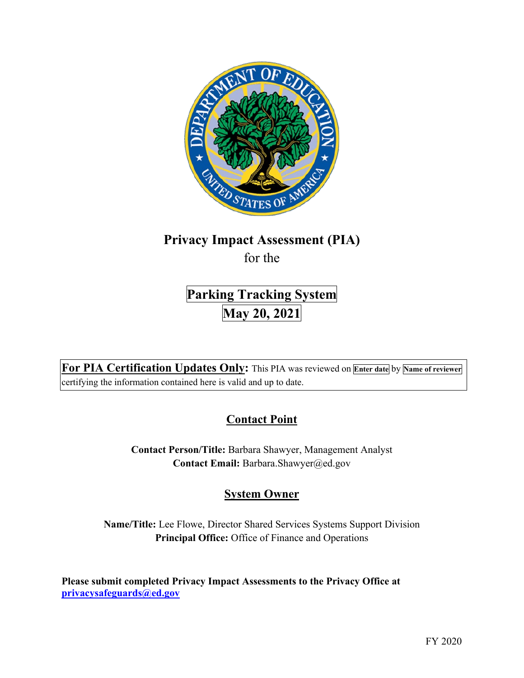

# **Privacy Impact Assessment (PIA)**

for the

# **Parking Tracking System May 20, 2021**

 **For PIA Certification Updates Only:** This PIA was reviewed on **Enter date** by **Name of reviewer**  certifying the information contained here is valid and up to date.

## **Contact Point**

**Contact Person/Title:** Barbara Shawyer, Management Analyst **Contact Email:** [Barbara.Shawyer@ed.gov](mailto:Barbara.Shawyer@ed.gov) 

## **System Owner**

**Name/Title:** Lee Flowe, Director Shared Services Systems Support Division **Principal Office:** Office of Finance and Operations

 **Please submit completed Privacy Impact Assessments to the Privacy Office at [privacysafeguards@ed.gov](mailto:privacysafeguards@ed.gov)**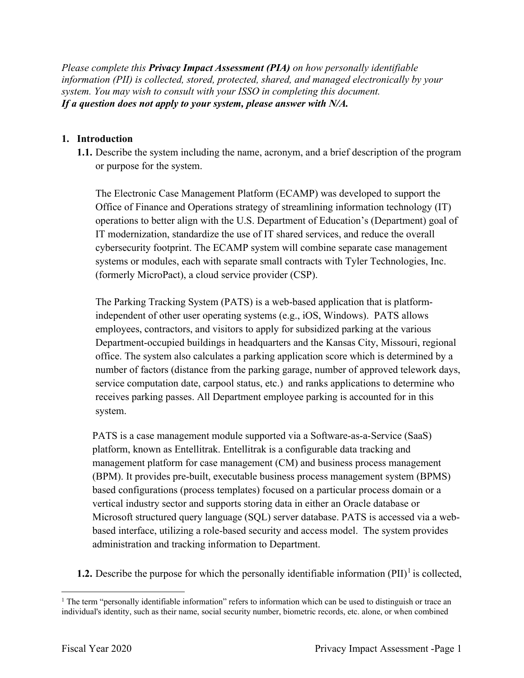*Please complete this Privacy Impact Assessment (PIA) on how personally identifiable information (PII) is collected, stored, protected, shared, and managed electronically by your system. You may wish to consult with your ISSO in completing this document. If a question does not apply to your system, please answer with N/A.* 

### **1. Introduction**

or purpose for the system. **1.1.** Describe the system including the name, acronym, and a brief description of the program

or purpose for the system.<br>The Electronic Case Management Platform (ECAMP) was developed to support the IT modernization, standardize the use of IT shared services, and reduce the overall systems or modules, each with separate small contracts with Tyler Technologies, Inc. Office of Finance and Operations strategy of streamlining information technology (IT) operations to better align with the U.S. Department of Education's (Department) goal of cybersecurity footprint. The ECAMP system will combine separate case management (formerly MicroPact), a cloud service provider (CSP).

 independent of other user operating systems (e.g., iOS, Windows). PATS allows Department-occupied buildings in headquarters and the Kansas City, Missouri, regional number of factors (distance from the parking garage, number of approved telework days, service computation date, carpool status, etc.) and ranks applications to determine who receives parking passes. All Department employee parking is accounted for in this The Parking Tracking System (PATS) is a web-based application that is platformemployees, contractors, and visitors to apply for subsidized parking at the various office. The system also calculates a parking application score which is determined by a system.

 platform, known as Entellitrak. Entellitrak is a configurable data tracking and management platform for case management (CM) and business process management vertical industry sector and supports storing data in either an Oracle database or Microsoft structured query language (SQL) server database. PATS is accessed via a web- based interface, utilizing a role-based security and access model. The system provides PATS is a case management module supported via a Software-as-a-Service (SaaS) (BPM). It provides pre-built, executable business process management system (BPMS) based configurations (process templates) focused on a particular process domain or a administration and tracking information to Department.

**1.2.** Describe the purpose for which the personally identifiable information  $(PII)^{1}$  is collected,

 $1$  The term "personally identifiable information" refers to information which can be used to distinguish or trace an individual's identity, such as their name, social security number, biometric records, etc. alone, or when combined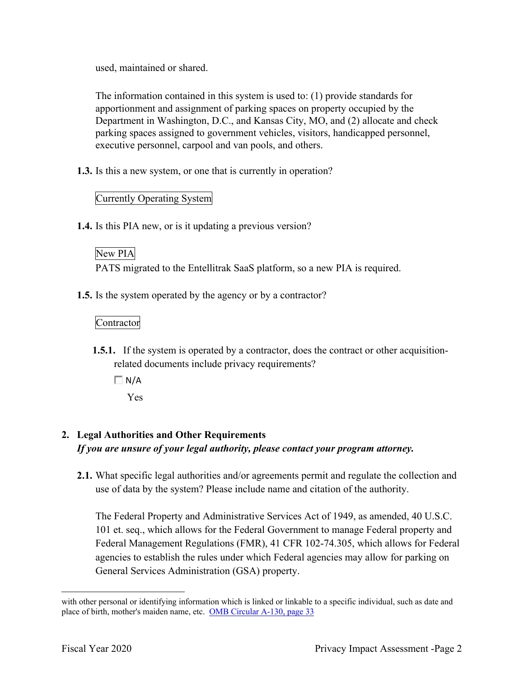used, maintained or shared.

The information contained in this system is used to: (1) provide standards for apportionment and assignment of parking spaces on property occupied by the Department in Washington, D.C., and Kansas City, MO, and (2) allocate and check parking spaces assigned to government vehicles, visitors, handicapped personnel, executive personnel, carpool and van pools, and others.

**1.3.** Is this a new system, or one that is currently in operation?

### Currently Operating System

**1.4.** Is this PIA new, or is it updating a previous version?

### New PIA

PATS migrated to the Entellitrak SaaS platform, so a new PIA is required.

**1.5.** Is the system operated by the agency or by a contractor?

### Contractor

- **1.5.1.** If the system is operated by a contractor, does the contract or other acquisitionrelated documents include privacy requirements?
	- $\Box N/A$ Yes

## **2. Legal Authorities and Other Requirements**  *If you are unsure of your legal authority, please contact your program attorney.*

 **2.1.** What specific legal authorities and/or agreements permit and regulate the collection and use of data by the system? Please include name and citation of the authority.

 101 et. seq., which allows for the Federal Government to manage Federal property and agencies to establish the rules under which Federal agencies may allow for parking on General Services Administration (GSA) property. The Federal Property and Administrative Services Act of 1949, as amended, 40 U.S.C. Federal Management Regulations (FMR), 41 CFR 102-74.305, which allows for Federal

 with other personal or identifying information which is linked or linkable to a specific individual, such as date and place of birth, mother's maiden name, etc. OMB Circular A-130, page 33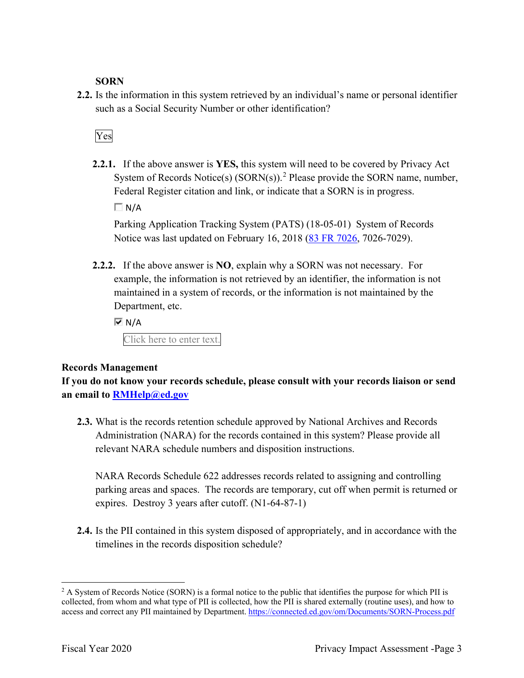### **SORN**

 such as a Social Security Number or other identification? **2.2.** Is the information in this system retrieved by an individual's name or personal identifier

## Yes

**2.2.1.** If the above answer is **YES,** this system will need to be covered by Privacy Act System of Records Notice(s)  $(SORN(s))$ .<sup>2</sup> Please provide the SORN name, number, Federal Register citation and link, or indicate that a SORN is in progress.

 $\Box N/A$ 

 Parking Application Tracking System (PATS) (18-05-01) System of Records Notice was last updated on February 16, 2018 (83 FR 7026, 7026-7029).

 **2.2.2.** If the above answer is **NO**, explain why a SORN was not necessary. For Department, etc. example, the information is not retrieved by an identifier, the information is not maintained in a system of records, or the information is not maintained by the

 $\overline{M}$  N/A

Click here to enter text.

### **Records Management**

 **an email to [RMHelp@ed.gov](mailto:RMHelp@ed.gov) If you do not know your records schedule, please consult with your records liaison or send** 

**2.3.** What is the records retention schedule approved by National Archives and Records Administration (NARA) for the records contained in this system? Please provide all relevant NARA schedule numbers and disposition instructions.

 parking areas and spaces. The records are temporary, cut off when permit is returned or expires. Destroy 3 years after cutoff. (N1-64-87-1) NARA Records Schedule 622 addresses records related to assigning and controlling

 timelines in the records disposition schedule? **2.4.** Is the PII contained in this system disposed of appropriately, and in accordance with the

 $2$  A System of Records Notice (SORN) is a formal notice to the public that identifies the purpose for which PII is collected, from whom and what type of PII is collected, how the PII is shared externally (routine uses), and how to access and correct any PII maintained by Department. <https://connected.ed.gov/om/Documents/SORN-Process.pdf>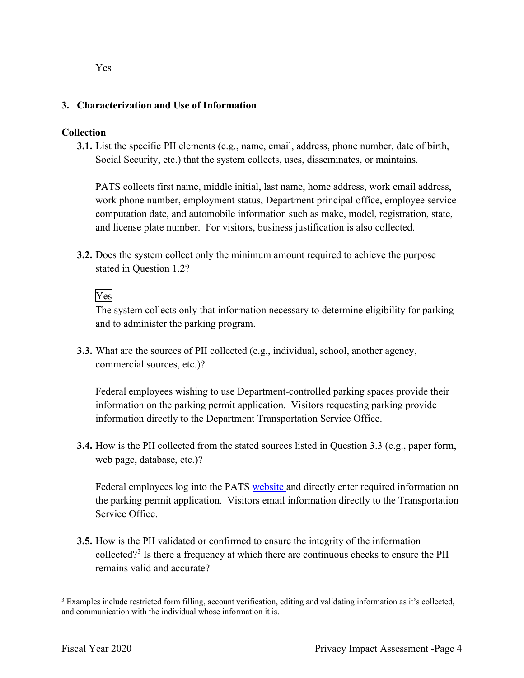Yes

### **3. Characterization and Use of Information**

### **Collection**

**3.1.** List the specific PII elements (e.g., name, email, address, phone number, date of birth, Social Security, etc.) that the system collects, uses, disseminates, or maintains.

 PATS collects first name, middle initial, last name, home address, work email address, work phone number, employment status, Department principal office, employee service computation date, and automobile information such as make, model, registration, state, and license plate number. For visitors, business justification is also collected.

 **3.2.** Does the system collect only the minimum amount required to achieve the purpose stated in Question 1.2?<br>Yes

The system collects only that information necessary to determine eligibility for parking and to administer the parking program.

**3.3.** What are the sources of PII collected (e.g., individual, school, another agency, commercial sources, etc.)?

 information on the parking permit application. Visitors requesting parking provide information directly to the Department Transportation Service Office. Federal employees wishing to use Department-controlled parking spaces provide their

 **3.4.** How is the PII collected from the stated sources listed in Question 3.3 (e.g., paper form, web page, database, etc.)?

Federal employees log into the PATS website and directly enter required information on the parking permit application. Visitors email information directly to the Transportation Service Office.

 **3.5.** How is the PII validated or confirmed to ensure the integrity of the information collected?<sup>3</sup> Is there a frequency at which there are continuous checks to ensure the PII remains valid and accurate?

 $3$  Examples include restricted form filling, account verification, editing and validating information as it's collected, and communication with the individual whose information it is.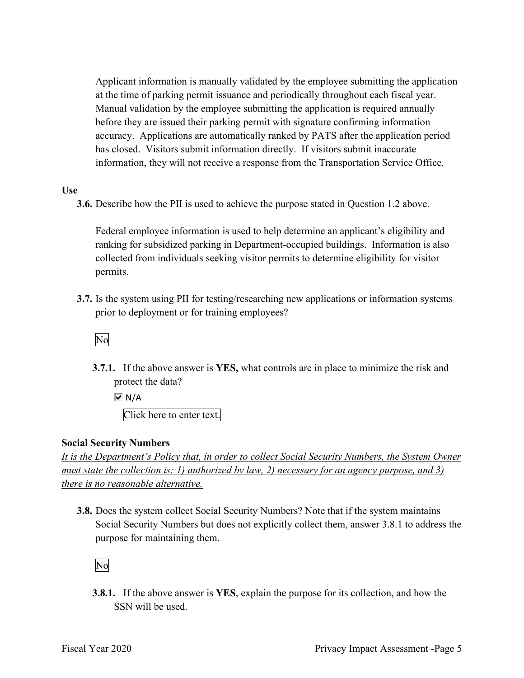Applicant information is manually validated by the employee submitting the application at the time of parking permit issuance and periodically throughout each fiscal year. before they are issued their parking permit with signature confirming information accuracy. Applications are automatically ranked by PATS after the application period has closed. Visitors submit information directly. If visitors submit inaccurate Manual validation by the employee submitting the application is required annually information, they will not receive a response from the Transportation Service Office.

### **Use**

**3.6.** Describe how the PII is used to achieve the purpose stated in Question 1.2 above.

 Federal employee information is used to help determine an applicant's eligibility and ranking for subsidized parking in Department-occupied buildings. Information is also collected from individuals seeking visitor permits to determine eligibility for visitor permits.

 **3.7.** Is the system using PII for testing/researching new applications or information systems prior to deployment or for training employees?<br>No

 **3.7.1.** If the above answer is **YES,** what controls are in place to minimize the risk and protect the data?

 $\overline{M}$  N/A

Click here to enter text.

### **Social Security Numbers**

 *It is the Department's Policy that, in order to collect Social Security Numbers, the System Owner must state the collection is: 1) authorized by law, 2) necessary for an agency purpose, and 3) there is no reasonable alternative.* 

 **3.8.** Does the system collect Social Security Numbers? Note that if the system maintains Social Security Numbers but does not explicitly collect them, answer 3.8.1 to address the purpose for maintaining them.

No

**3.8.1.** If the above answer is **YES**, explain the purpose for its collection, and how the SSN will be used.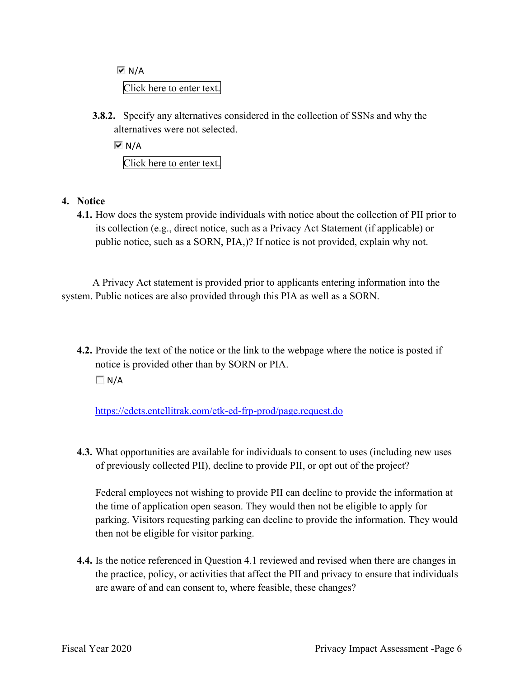Click here to enter text.  $\overline{M}$  N/A

 **3.8.2.** Specify any alternatives considered in the collection of SSNs and why the alternatives were not selected.

 $\overline{M}$  N/A Click here to enter text.

### **4. Notice**

 its collection (e.g., direct notice, such as a Privacy Act Statement (if applicable) or **4.1.** How does the system provide individuals with notice about the collection of PII prior to public notice, such as a SORN, PIA,)? If notice is not provided, explain why not.

A Privacy Act statement is provided prior to applicants entering information into the system. Public notices are also provided through this PIA as well as a SORN.

 **4.2.** Provide the text of the notice or the link to the webpage where the notice is posted if notice is provided other than by SORN or PIA.

 $\Box N/A$ 

<https://edcts.entellitrak.com/etk-ed-frp-prod/page.request.do>

**4.3.** What opportunities are available for individuals to consent to uses (including new uses of previously collected PII), decline to provide PII, or opt out of the project?

 the time of application open season. They would then not be eligible to apply for then not be eligible for visitor parking. Federal employees not wishing to provide PII can decline to provide the information at parking. Visitors requesting parking can decline to provide the information. They would

**4.4.** Is the notice referenced in Question 4.1 reviewed and revised when there are changes in the practice, policy, or activities that affect the PII and privacy to ensure that individuals are aware of and can consent to, where feasible, these changes?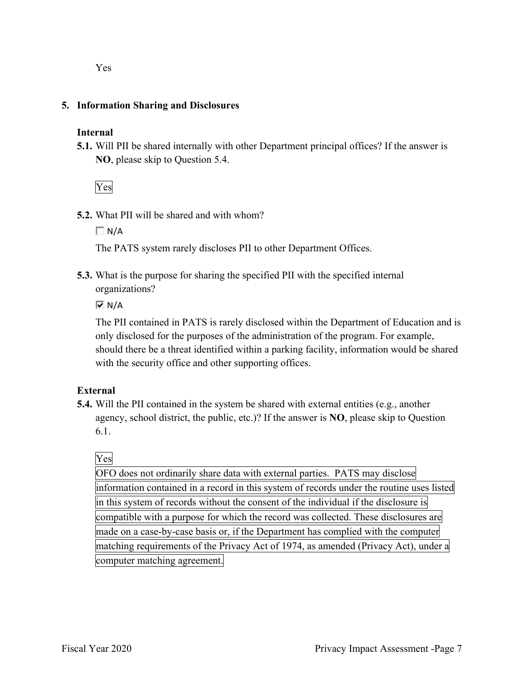### **5. Information Sharing and Disclosures**

### **Internal**

 **5.1.** Will PII be shared internally with other Department principal offices? If the answer is **NO**, please skip to Question 5.4.

Yes

**5.2.** What PII will be shared and with whom?

 $\Box$  N/A

The PATS system rarely discloses PII to other Department Offices.

 **5.3.** What is the purpose for sharing the specified PII with the specified internal organizations?

 $\overline{\triangledown}$  N/A

 The PII contained in PATS is rarely disclosed within the Department of Education and is only disclosed for the purposes of the administration of the program. For example, should there be a threat identified within a parking facility, information would be shared with the security office and other supporting offices.

### **External**

 **5.4.** Will the PII contained in the system be shared with external entities (e.g., another agency, school district, the public, etc.)? If the answer is **NO**, please skip to Question 6.1.

### Yes

 OFO does not ordinarily share data with external parties. PATS may disclose information contained in a record in this system of records under the routine uses listed in this system of records without the consent of the individual if the disclosure is compatible with a purpose for which the record was collected. These disclosures are made on a case-by-case basis or, if the Department has complied with the computer matching requirements of the Privacy Act of 1974, as amended (Privacy Act), under a computer matching agreement.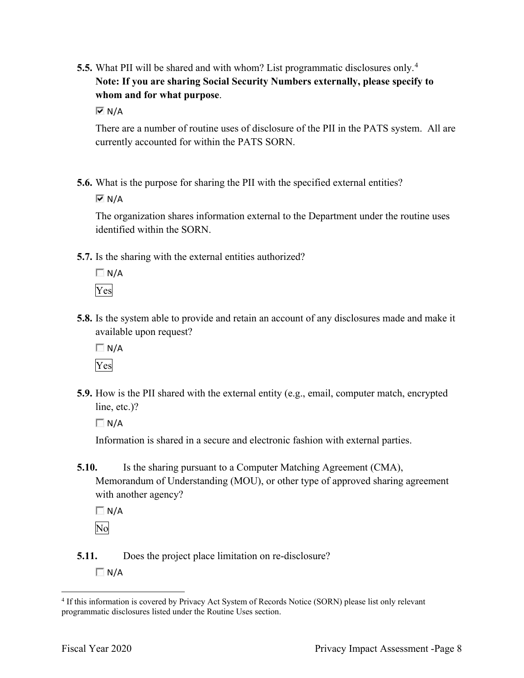**5.5.** What PII will be shared and with whom? List programmatic disclosures only. 4  **Note: If you are sharing Social Security Numbers externally, please specify to whom and for what purpose**.

 $\overline{M}$  N/A

 There are a number of routine uses of disclosure of the PII in the PATS system. All are currently accounted for within the PATS SORN.

**5.6.** What is the purpose for sharing the PII with the specified external entities?

 $\overline{M}$  N/A

The organization shares information external to the Department under the routine uses identified within the SORN.

**5.7.** Is the sharing with the external entities authorized?

 $\Box N/A$ Yes

 **5.8.** Is the system able to provide and retain an account of any disclosures made and make it available upon request?

 $\Box$  N/A

Yes

**5.9.** How is the PII shared with the external entity (e.g., email, computer match, encrypted line, etc.)?

 $\Box$  N/A

Information is shared in a secure and electronic fashion with external parties.

**5.10.** Is the sharing pursuant to a Computer Matching Agreement (CMA), Memorandum of Understanding (MOU), or other type of approved sharing agreement with another agency?

 $\Box$  N/A No

**5.11.** Does the project place limitation on re-disclosure?  $\Box N/A$ 

<sup>&</sup>lt;sup>4</sup> If this information is covered by Privacy Act System of Records Notice (SORN) please list only relevant programmatic disclosures listed under the Routine Uses section.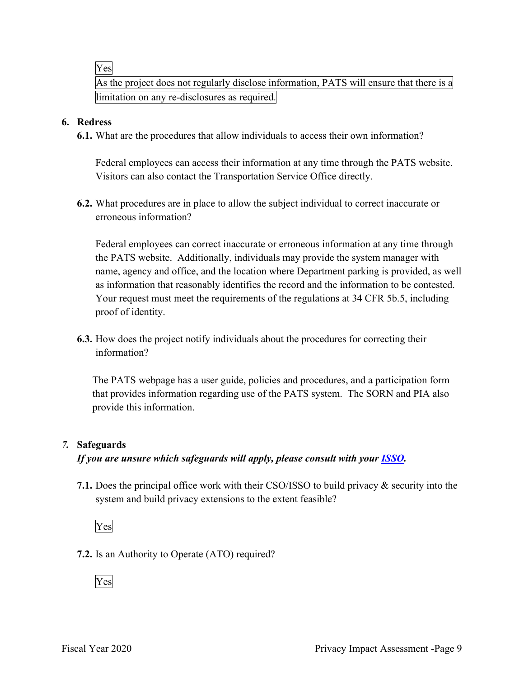Yes

 As the project does not regularly disclose information, PATS will ensure that there is a limitation on any re-disclosures as required.

### **6. Redress**

**6.1.** What are the procedures that allow individuals to access their own information?

 Federal employees can access their information at any time through the PATS website. Visitors can also contact the Transportation Service Office directly.

 **6.2.** What procedures are in place to allow the subject individual to correct inaccurate or erroneous information?

 the PATS website. Additionally, individuals may provide the system manager with Your request must meet the requirements of the regulations at 34 CFR 5b.5, including proof of identity. Federal employees can correct inaccurate or erroneous information at any time through name, agency and office, and the location where Department parking is provided, as well as information that reasonably identifies the record and the information to be contested.

**6.3.** How does the project notify individuals about the procedures for correcting their information?

 that provides information regarding use of the PATS system. The SORN and PIA also provide this information. The PATS webpage has a user guide, policies and procedures, and a participation form

### *7.* **Safeguards**

### *If you are unsure which safeguards will apply, please consult with your ISSO.*

 **7.1.** Does the principal office work with their CSO/ISSO to build privacy & security into the system and build privacy extensions to the extent feasible?

## Yes

**7.2.** Is an Authority to Operate (ATO) required?

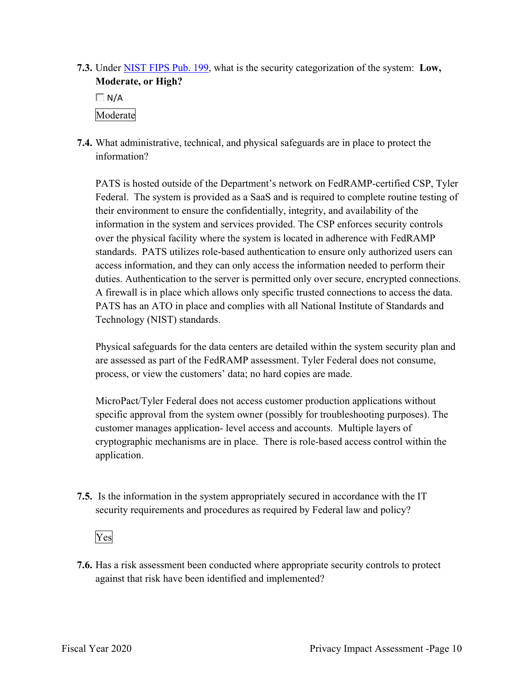**7.3.** Under NIST FIPS Pub. 199, what is the security categorization of the system: **Low, Moderate, or High?** 

 $\Box$  N/A

Moderate

 **7.4.** What administrative, technical, and physical safeguards are in place to protect the information?

 PATS is hosted outside of the Department's network on FedRAMP-certified CSP, Tyler their environment to ensure the confidentially, integrity, and availability of the over the physical facility where the system is located in adherence with FedRAMP standards. PATS utilizes role-based authentication to ensure only authorized users can access information, and they can only access the information needed to perform their A firewall is in place which allows only specific trusted connections to access the data. Federal. The system is provided as a SaaS and is required to complete routine testing of information in the system and services provided. The CSP enforces security controls duties. Authentication to the server is permitted only over secure, encrypted connections. PATS has an ATO in place and complies with all National Institute of Standards and Technology (NIST) standards.

Physical safeguards for the data centers are detailed within the system security plan and are assessed as part of the FedRAMP assessment. Tyler Federal does not consume, process, or view the customers' data; no hard copies are made.

 cryptographic mechanisms are in place. There is role-based access control within the MicroPact/Tyler Federal does not access customer production applications without specific approval from the system owner (possibly for troubleshooting purposes). The customer manages application- level access and accounts. Multiple layers of application.

 **7.5.** Is the information in the system appropriately secured in accordance with the IT security requirements and procedures as required by Federal law and policy?



**7.6.** Has a risk assessment been conducted where appropriate security controls to protect against that risk have been identified and implemented?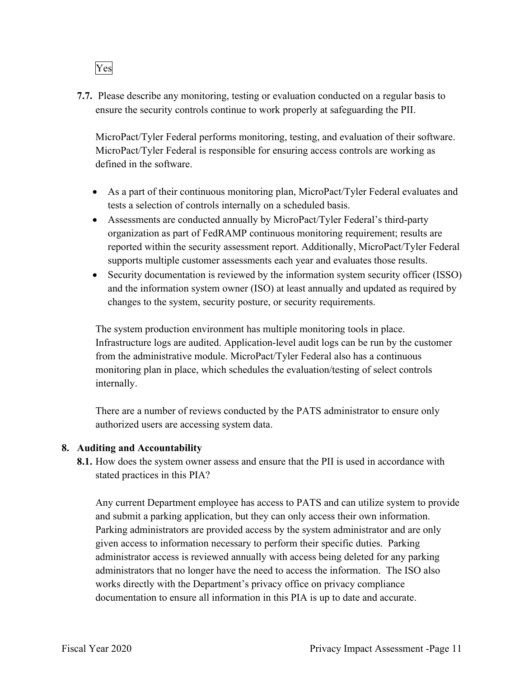

 ensure the security controls continue to work properly at safeguarding the PII. **7.7.** Please describe any monitoring, testing or evaluation conducted on a regular basis to

MicroPact/Tyler Federal performs monitoring, testing, and evaluation of their software. MicroPact/Tyler Federal is responsible for ensuring access controls are working as defined in the software.

- As a part of their continuous monitoring plan, MicroPact/Tyler Federal evaluates and tests a selection of controls internally on a scheduled basis.
- • Assessments are conducted annually by MicroPact/Tyler Federal's third-party organization as part of FedRAMP continuous monitoring requirement; results are reported within the security assessment report. Additionally, MicroPact/Tyler Federal supports multiple customer assessments each year and evaluates those results.
- Security documentation is reviewed by the information system security officer (ISSO) and the information system owner (ISO) at least annually and updated as required by changes to the system, security posture, or security requirements.

The system production environment has multiple monitoring tools in place. Infrastructure logs are audited. Application-level audit logs can be run by the customer from the administrative module. MicroPact/Tyler Federal also has a continuous monitoring plan in place, which schedules the evaluation/testing of select controls internally.

 There are a number of reviews conducted by the PATS administrator to ensure only authorized users are accessing system data.

### **8. Auditing and Accountability**

 **8.1.** How does the system owner assess and ensure that the PII is used in accordance with stated practices in this PIA?

 Any current Department employee has access to PATS and can utilize system to provide administrators that no longer have the need to access the information. The ISO also and submit a parking application, but they can only access their own information. Parking administrators are provided access by the system administrator and are only given access to information necessary to perform their specific duties. Parking administrator access is reviewed annually with access being deleted for any parking works directly with the Department's privacy office on privacy compliance documentation to ensure all information in this PIA is up to date and accurate.